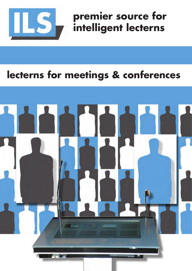

**premier source for intelligent lecterns**

# **lecterns for meetings & conferences**

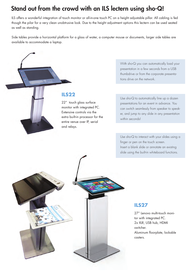## Stand out from the crowd with an ILS lectern using sho-Q!

ILS offers a wonderful integration of touch monitor or all-in-one touch PC on a height adjustable pillar. All cabling is fed though the pilar for a very clean unobtrusive look. Due to the height adjustment options this lectern can be used seated as well as standing.

Side tables provide a horizontal platform for a glass of water, a computer mouse or documents, larger side tables are available to accommodate a laptop.



#### **ILS22**

22" touch glass surface monitor with integrated PC. Extensive controls via the extra built-in processor for the entire venue over IP, serial and relays.

With sho-Q you can automatically load your presentation in a few seconds from a USB thumbdrive or from the corporate presentations drive on the network.

Use sho-Q to automatically line up a dozen presentations for an event in advance. You can switch seamlessly from speaker to speaker, and jump to any slide in any presentation within seconds!

Use sho-Q to interact with your slides using a finger or pen on the touch screen. Insert a blank slide or annotate an existing slide using the built-in whiteboard functions.



#### **ILS27**

27" Lenovo multi-touch monitor with integrated PC. 2x XLR, USB hub, HDMI switcher. Aluminum floorplate, lockable casters.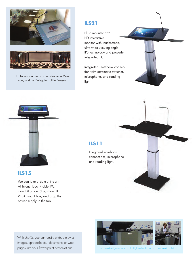



ILS lecterns in use in a boardroom in Moscow, and the Delegate Hall in Brussels

#### **ILS21**

Flush mounted 22" HD interactive monitor with touchscreen, ultra-wide viewing-angle, IPS technology and powerful integrated PC.

Integrated notebook connection with automatic switcher, microphone, and reading light

#### **ILS11**

Integrated notebook connections, microphone and reading light.

#### **ILS15**

You can take a state-of-the-art All-in-one Touch/Tablet PC, mount it on our 3 position tilt VESA mount box, and drop the power supply in the top.

With sho-Q, you can easily embed movies, images, spreadsheets, documents or web pages into your Powerpoint presentations.



visit www.intelligentlecterns.com for high end auditorium and dual monitor solution